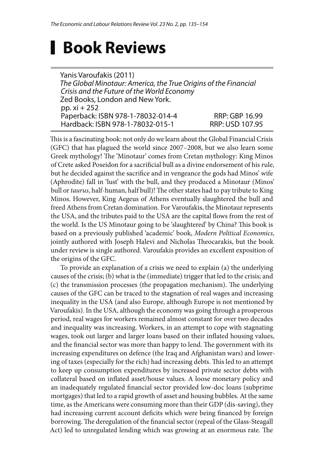## **Book Reviews**

| Yanis Varoufakis (2011)                                         |                 |
|-----------------------------------------------------------------|-----------------|
| The Global Minotaur: America, the True Origins of the Financial |                 |
| Crisis and the Future of the World Economy                      |                 |
| Zed Books, London and New York.                                 |                 |
| pp. $xi + 252$                                                  |                 |
| Paperback: ISBN 978-1-78032-014-4                               | RRP: GBP 16.99  |
| Hardback: ISBN 978-1-78032-015-1                                | RRP: USD 107.95 |

This is a fascinating book: not only do we learn about the Global Financial Crisis (GFC) that has plagued the world since 2007–2008, but we also learn some Greek mythology! The 'Minotaur' comes from Cretan mythology: King Minos of Crete asked Poseidon for a sacrificial bull as a divine endorsement of his rule, but he decided against the sacrifice and in vengeance the gods had Minos' wife (Aphrodite) fall in 'lust' with the bull, and they produced a Minotaur (Minos' bull or taurus, half-human, half bull)! The other states had to pay tribute to King Minos. However, King Aegeus of Athens eventually slaughtered the bull and freed Athens from Cretan domination. For Varoufakis, the Minotaur represents the USA, and the tributes paid to the USA are the capital flows from the rest of the world. Is the US Minotaur going to be 'slaughtered' by China? This book is based on a previously published 'academic' book, Modern Political Economics, jointly authored with Joseph Halevi and Nicholas Theocarakis, but the book under review is single authored. Varoufakis provides an excellent exposition of the origins of the GFC.

To provide an explanation of a crisis we need to explain (a) the underlying causes of the crisis; (b) what is the (immediate) trigger that led to the crisis; and (c) the transmission processes (the propagation mechanism). The underlying causes of the GFC can be traced to the stagnation of real wages and increasing inequality in the USA (and also Europe, although Europe is not mentioned by Varoufakis). In the USA, although the economy was going through a prosperous period, real wages for workers remained almost constant for over two decades and inequality was increasing. Workers, in an attempt to cope with stagnating wages, took out larger and larger loans based on their inflated housing values, and the financial sector was more than happy to lend. The government with its increasing expenditures on defence (the Iraq and Afghanistan wars) and lowering of taxes (especially for the rich) had increasing debts. This led to an attempt to keep up consumption expenditures by increased private sector debts with collateral based on inflated asset/house values. A loose monetary policy and an inadequately regulated financial sector provided low-doc loans (subprime mortgages) that led to a rapid growth of asset and housing bubbles. At the same time, as the Americans were consuming more than their GDP (dis-saving), they had increasing current account deficits which were being financed by foreign borrowing. The deregulation of the financial sector (repeal of the Glass-Steagall Act) led to unregulated lending which was growing at an enormous rate. The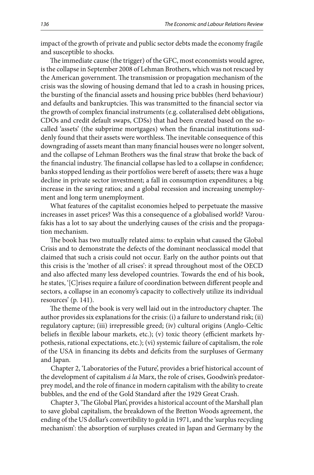impact of the growth of private and public sector debts made the economy fragile and susceptible to shocks.

The immediate cause (the trigger) of the GFC, most economists would agree, is the collapse in September 2008 of Lehman Brothers, which was not rescued by the American government. The transmission or propagation mechanism of the crisis was the slowing of housing demand that led to a crash in housing prices, the bursting of the financial assets and housing price bubbles (herd behaviour) and defaults and bankruptcies. This was transmitted to the financial sector via the growth of complex financial instruments (e.g. collateralised debt obligations, CDOs and credit default swaps, CDSs) that had been created based on the socalled 'assets' (the subprime mortgages) when the financial institutions suddenly found that their assets were worthless. The inevitable consequence of this downgrading of assets meant than many financial houses were no longer solvent, and the collapse of Lehman Brothers was the final straw that broke the back of the financial industry. The financial collapse has led to a collapse in confidence; banks stopped lending as their portfolios were bereft of assets; there was a huge decline in private sector investment; a fall in consumption expenditures; a big increase in the saving ratios; and a global recession and increasing unemployment and long term unemployment.

What features of the capitalist economies helped to perpetuate the massive increases in asset prices? Was this a consequence of a globalised world? Varoufakis has a lot to say about the underlying causes of the crisis and the propagation mechanism.

The book has two mutually related aims: to explain what caused the Global Crisis and to demonstrate the defects of the dominant neoclassical model that claimed that such a crisis could not occur. Early on the author points out that this crisis is the 'mother of all crises': it spread throughout most of the OECD and also affected many less developed countries. Towards the end of his book, he states, '[C]rises require a failure of coordination between different people and sectors, a collapse in an economy's capacity to collectively utilize its individual resources' (p. 141).

The theme of the book is very well laid out in the introductory chapter. The author provides six explanations for the crisis: (i) a failure to understand risk; (ii) regulatory capture; (iii) irrepressible greed; (iv) cultural origins (Anglo-Celtic beliefs in flexible labour markets, etc.); (v) toxic theory (efficient markets hypothesis, rational expectations, etc.); (vi) systemic failure of capitalism, the role of the USA in financing its debts and deficits from the surpluses of Germany and Japan.

Chapter 2, 'Laboratories of the Future', provides a brief historical account of the development of capitalism á la Marx, the role of crises, Goodwin's predatorprey model, and the role of finance in modern capitalism with the ability to create bubbles, and the end of the Gold Standard after the 1929 Great Crash.

Chapter 3, 'The Global Plan', provides a historical account of the Marshall plan to save global capitalism, the breakdown of the Bretton Woods agreement, the ending of the US dollar's convertibility to gold in 1971, and the 'surplus recycling mechanism': the absorption of surpluses created in Japan and Germany by the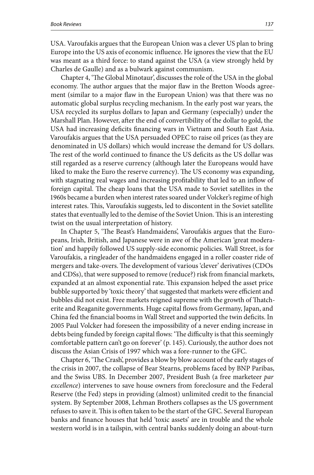USA. Varoufakis argues that the European Union was a clever US plan to bring Europe into the US axis of economic influence. He ignores the view that the EU was meant as a third force: to stand against the USA (a view strongly held by Charles de Gaulle) and as a bulwark against communism.

Chapter 4, 'The Global Minotaur', discusses the role of the USA in the global economy. The author argues that the major flaw in the Bretton Woods agreement (similar to a major flaw in the European Union) was that there was no automatic global surplus recycling mechanism. In the early post war years, the USA recycled its surplus dollars to Japan and Germany (especially) under the Marshall Plan. However, after the end of convertibility of the dollar to gold, the USA had increasing deficits financing wars in Vietnam and South East Asia. Varoufakis argues that the USA persuaded OPEC to raise oil prices (as they are denominated in US dollars) which would increase the demand for US dollars. The rest of the world continued to finance the US deficits as the US dollar was still regarded as a reserve currency (although later the Europeans would have liked to make the Euro the reserve currency). The US economy was expanding, with stagnating real wages and increasing profitability that led to an inflow of foreign capital. The cheap loans that the USA made to Soviet satellites in the 1960s became a burden when interest rates soared under Volcker's regime of high interest rates. This, Varoufakis suggests, led to discontent in the Soviet satellite states that eventually led to the demise of the Soviet Union. This is an interesting twist on the usual interpretation of history.

In Chapter 5, 'The Beast's Handmaidens', Varoufakis argues that the Europeans, Irish, British, and Japanese were in awe of the American 'great moderation' and happily followed US supply-side economic policies. Wall Street, is for Varoufakis, a ringleader of the handmaidens engaged in a roller coaster ride of mergers and take-overs. The development of various 'clever' derivatives (CDOs and CDSs), that were supposed to remove (reduce?) risk from financial markets, expanded at an almost exponential rate. This expansion helped the asset price bubble supported by 'toxic theory' that suggested that markets were efficient and bubbles did not exist. Free markets reigned supreme with the growth of Thatcherite and Reaganite governments. Huge capital flows from Germany, Japan, and China fed the financial booms in Wall Street and supported the twin deficits. In 2005 Paul Volcker had foreseen the impossibility of a never ending increase in debts being funded by foreign capital flows: 'The difficulty is that this seemingly comfortable pattern can't go on forever' (p. 145). Curiously, the author does not discuss the Asian Crisis of 1997 which was a fore-runner to the GFC.

Chapter 6, 'The Crash', provides a blow by blow account of the early stages of the crisis in 2007, the collapse of Bear Stearns, problems faced by BNP Paribas, and the Swiss UBS. In December 2007, President Bush (a free marketeer par excellence) intervenes to save house owners from foreclosure and the Federal Reserve (the Fed) steps in providing (almost) unlimited credit to the financial system. By September 2008, Lehman Brothers collapses as the US government refuses to save it. This is often taken to be the start of the GFC. Several European banks and finance houses that held 'toxic assets' are in trouble and the whole western world is in a tailspin, with central banks suddenly doing an about-turn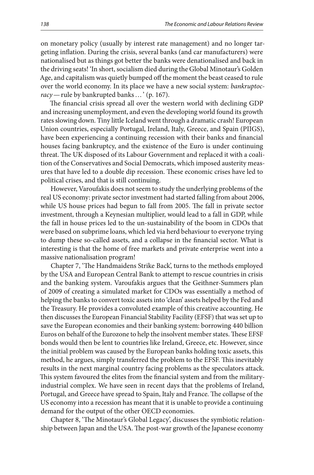on monetary policy (usually by interest rate management) and no longer targeting inflation. During the crisis, several banks (and car manufacturers) were nationalised but as things got better the banks were denationalised and back in the driving seats! 'In short, socialism died during the Global Minotaur's Golden Age, and capitalism was quietly bumped off the moment the beast ceased to rule over the world economy. In its place we have a new social system: bankruptocracy — rule by bankrupted banks ...' (p. 167).

The financial crisis spread all over the western world with declining GDP and increasing unemployment, and even the developing world found its growth rates slowing down. Tiny little Iceland went through a dramatic crash! European Union countries, especially Portugal, Ireland, Italy, Greece, and Spain (PIIGS), have been experiencing a continuing recession with their banks and financial houses facing bankruptcy, and the existence of the Euro is under continuing threat. The UK disposed of its Labour Government and replaced it with a coalition of the Conservatives and Social Democrats, which imposed austerity measures that have led to a double dip recession. These economic crises have led to political crises, and that is still continuing.

However, Varoufakis does not seem to study the underlying problems of the real US economy: private sector investment had started falling from about 2006, while US house prices had begun to fall from 2005. The fall in private sector investment, through a Keynesian multiplier, would lead to a fall in GDP, while the fall in house prices led to the un-sustainability of the boom in CDOs that were based on subprime loans, which led via herd behaviour to everyone trying to dump these so-called assets, and a collapse in the financial sector. What is interesting is that the home of free markets and private enterprise went into a massive nationalisation program!

Chapter 7, 'The Handmaidens Strike Back', turns to the methods employed by the USA and European Central Bank to attempt to rescue countries in crisis and the banking system. Varoufakis argues that the Geithner-Summers plan of 2009 of creating a simulated market for CDOs was essentially a method of helping the banks to convert toxic assets into 'clean' assets helped by the Fed and the Treasury. He provides a convoluted example of this creative accounting. He then discusses the European Financial Stability Facility (EFSF) that was set up to save the European economies and their banking system: borrowing 440 billion Euros on behalf of the Eurozone to help the insolvent member states. These EFSF bonds would then be lent to countries like Ireland, Greece, etc. However, since the initial problem was caused by the European banks holding toxic assets, this method, he argues, simply transferred the problem to the EFSF. This inevitably results in the next marginal country facing problems as the speculators attack. This system favoured the elites from the financial system and from the militaryindustrial complex. We have seen in recent days that the problems of Ireland, Portugal, and Greece have spread to Spain, Italy and France. The collapse of the US economy into a recession has meant that it is unable to provide a continuing demand for the output of the other OECD economies.

Chapter 8, 'The Minotaur's Global Legacy', discusses the symbiotic relationship between Japan and the USA. The post-war growth of the Japanese economy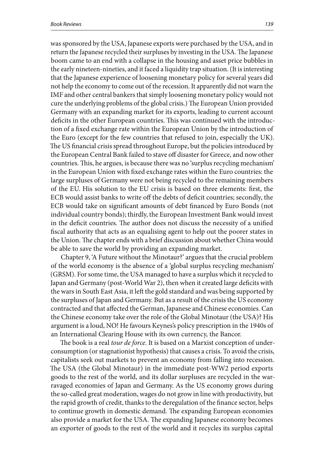was sponsored by the USA, Japanese exports were purchased by the USA, and in return the Japanese recycled their surpluses by investing in the USA. The Japanese boom came to an end with a collapse in the housing and asset price bubbles in the early nineteen-nineties, and it faced a liquidity trap situation. (It is interesting that the Japanese experience of loosening monetary policy for several years did not help the economy to come out of the recession. It apparently did not warn the IMF and other central bankers that simply loosening monetary policy would not cure the underlying problems of the global crisis.) The European Union provided Germany with an expanding market for its exports, leading to current account deficits in the other European countries. This was continued with the introduction of a fixed exchange rate within the European Union by the introduction of the Euro (except for the few countries that refused to join, especially the UK). The US financial crisis spread throughout Europe, but the policies introduced by the European Central Bank failed to stave off disaster for Greece, and now other countries. This, he argues, is because there was no 'surplus recycling mechanism' in the European Union with fixed exchange rates within the Euro countries: the large surpluses of Germany were not being recycled to the remaining members of the EU. His solution to the EU crisis is based on three elements: first, the ECB would assist banks to write off the debts of deficit countries; secondly, the ECB would take on significant amounts of debt financed by Euro Bonds (not individual country bonds); thirdly, the European Investment Bank would invest in the deficit countries. The author does not discuss the necessity of a unified fiscal authority that acts as an equalising agent to help out the poorer states in the Union. The chapter ends with a brief discussion about whether China would be able to save the world by providing an expanding market.

Chapter 9, 'A Future without the Minotaur?' argues that the crucial problem of the world economy is the absence of a 'global surplus recycling mechanism' (GRSM). For some time, the USA managed to have a surplus which it recycled to Japan and Germany (post-World War 2), then when it created large deficits with the wars in South East Asia, it left the gold standard and was being supported by the surpluses of Japan and Germany. But as a result of the crisis the US economy contracted and that affected the German, Japanese and Chinese economies. Can the Chinese economy take over the role of the Global Minotaur (the USA)? His argument is a loud, NO! He favours Keynes's policy prescription in the 1940s of an International Clearing House with its own currency, the Bancor.

The book is a real tour de force. It is based on a Marxist conception of underconsumption (or stagnationist hypothesis) that causes a crisis. To avoid the crisis, capitalists seek out markets to prevent an economy from falling into recession. The USA (the Global Minotaur) in the immediate post-WW2 period exports goods to the rest of the world, and its dollar surpluses are recycled in the warravaged economies of Japan and Germany. As the US economy grows during the so-called great moderation, wages do not grow in line with productivity, but the rapid growth of credit, thanks to the deregulation of the finance sector, helps to continue growth in domestic demand. The expanding European economies also provide a market for the USA. The expanding Japanese economy becomes an exporter of goods to the rest of the world and it recycles its surplus capital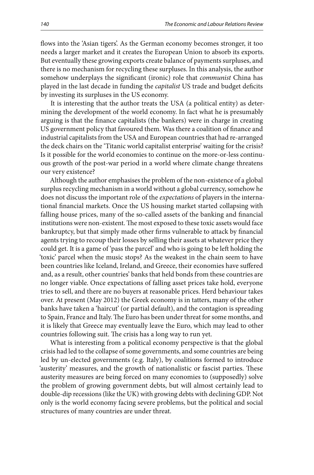flows into the 'Asian tigers'. As the German economy becomes stronger, it too needs a larger market and it creates the European Union to absorb its exports. But eventually these growing exports create balance of payments surpluses, and there is no mechanism for recycling these surpluses. In this analysis, the author somehow underplays the significant (ironic) role that *communist* China has played in the last decade in funding the *capitalist* US trade and budget deficits by investing its surpluses in the US economy.

It is interesting that the author treats the USA (a political entity) as determining the development of the world economy. In fact what he is presumably arguing is that the finance capitalists (the bankers) were in charge in creating US government policy that favoured them. Was there a coalition of finance and industrial capitalists from the USA and European countries that had re-arranged the deck chairs on the 'Titanic world capitalist enterprise' waiting for the crisis? Is it possible for the world economies to continue on the more-or-less continuous growth of the post-war period in a world where climate change threatens our very existence?

Although the author emphasises the problem of the non-existence of a global surplus recycling mechanism in a world without a global currency, somehow he does not discuss the important role of the *expectations* of players in the international financial markets. Once the US housing market started collapsing with falling house prices, many of the so-called assets of the banking and financial institutions were non-existent. The most exposed to these toxic assets would face bankruptcy, but that simply made other firms vulnerable to attack by financial agents trying to recoup their losses by selling their assets at whatever price they could get. It is a game of 'pass the parcel' and who is going to be left holding the 'toxic' parcel when the music stops? As the weakest in the chain seem to have been countries like Iceland, Ireland, and Greece, their economies have suffered and, as a result, other countries' banks that held bonds from these countries are no longer viable. Once expectations of falling asset prices take hold, everyone tries to sell, and there are no buyers at reasonable prices. Herd behaviour takes over. At present (May 2012) the Greek economy is in tatters, many of the other banks have taken a 'haircut' (or partial default), and the contagion is spreading to Spain, France and Italy. The Euro has been under threat for some months, and it is likely that Greece may eventually leave the Euro, which may lead to other countries following suit. The crisis has a long way to run yet.

What is interesting from a political economy perspective is that the global crisis had led to the collapse of some governments, and some countries are being led by un-elected governments (e.g. Italy), by coalitions formed to introduce 'austerity' measures, and the growth of nationalistic or fascist parties. These austerity measures are being forced on many economies to (supposedly) solve the problem of growing government debts, but will almost certainly lead to double-dip recessions (like the UK) with growing debts with declining GDP. Not only is the world economy facing severe problems, but the political and social structures of many countries are under threat.